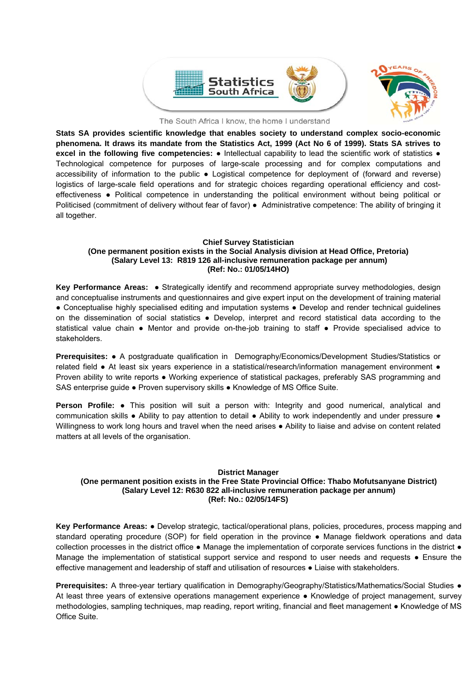

The South Africa I know, the home I understand

**Stats SA provides scientific knowledge that enables society to understand complex socio-economic phenomena. It draws its mandate from the Statistics Act, 1999 (Act No 6 of 1999). Stats SA strives to excel in the following five competencies:** ● Intellectual capability to lead the scientific work of statistics ● Technological competence for purposes of large-scale processing and for complex computations and accessibility of information to the public ● Logistical competence for deployment of (forward and reverse) logistics of large-scale field operations and for strategic choices regarding operational efficiency and costeffectiveness ● Political competence in understanding the political environment without being political or Politicised (commitment of delivery without fear of favor) ● Administrative competence: The ability of bringing it all together.

### **Chief Survey Statistician (One permanent position exists in the Social Analysis division at Head Office, Pretoria) (Salary Level 13: R819 126 all-inclusive remuneration package per annum) (Ref: No.: 01/05/14HO)**

**Key Performance Areas:** ● Strategically identify and recommend appropriate survey methodologies, design and conceptualise instruments and questionnaires and give expert input on the development of training material ● Conceptualise highly specialised editing and imputation systems ● Develop and render technical quidelines on the dissemination of social statistics ● Develop, interpret and record statistical data according to the statistical value chain • Mentor and provide on-the-job training to staff • Provide specialised advice to stakeholders.

**Prerequisites:** ● A postgraduate qualification in Demography/Economics/Development Studies/Statistics or related field • At least six years experience in a statistical/research/information management environment • Proven ability to write reports ● Working experience of statistical packages, preferably SAS programming and SAS enterprise guide . Proven supervisory skills . Knowledge of MS Office Suite.

**Person Profile:** • This position will suit a person with: Integrity and good numerical, analytical and communication skills • Ability to pay attention to detail • Ability to work independently and under pressure • Willingness to work long hours and travel when the need arises • Ability to liaise and advise on content related matters at all levels of the organisation.

### **District Manager (One permanent position exists in the Free State Provincial Office: Thabo Mofutsanyane District) (Salary Level 12: R630 822 all-inclusive remuneration package per annum) (Ref: No.: 02/05/14FS)**

**Key Performance Areas:** ● Develop strategic, tactical/operational plans, policies, procedures, process mapping and standard operating procedure (SOP) for field operation in the province • Manage fieldwork operations and data collection processes in the district office • Manage the implementation of corporate services functions in the district • Manage the implementation of statistical support service and respond to user needs and requests ● Ensure the effective management and leadership of staff and utilisation of resources ● Liaise with stakeholders.

**Prerequisites:** A three-year tertiary qualification in Demography/Geography/Statistics/Mathematics/Social Studies ● At least three years of extensive operations management experience ● Knowledge of project management, survey methodologies, sampling techniques, map reading, report writing, financial and fleet management ● Knowledge of MS Office Suite.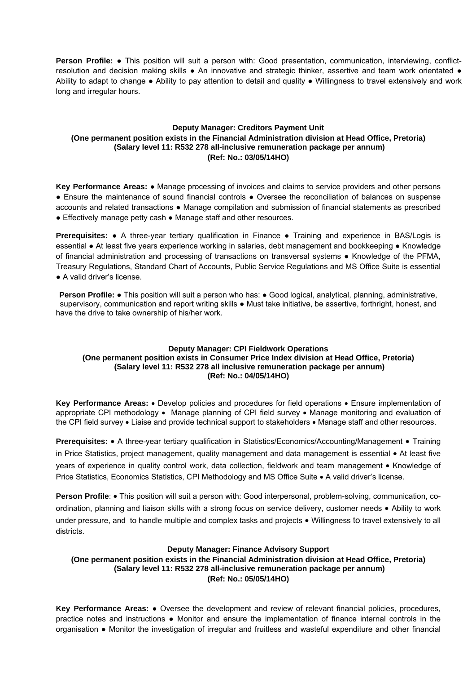**Person Profile: ●** This position will suit a person with: Good presentation, communication, interviewing, conflictresolution and decision making skills • An innovative and strategic thinker, assertive and team work orientated • Ability to adapt to change • Ability to pay attention to detail and quality • Willingness to travel extensively and work long and irregular hours.

# **Deputy Manager: Creditors Payment Unit (One permanent position exists in the Financial Administration division at Head Office, Pretoria) (Salary level 11: R532 278 all-inclusive remuneration package per annum) (Ref: No.: 03/05/14HO)**

**Key Performance Areas:** ● Manage processing of invoices and claims to service providers and other persons ● Ensure the maintenance of sound financial controls ● Oversee the reconciliation of balances on suspense accounts and related transactions ● Manage compilation and submission of financial statements as prescribed ● Effectively manage petty cash ● Manage staff and other resources.

**Prerequisites: •** A three-year tertiary qualification in Finance • Training and experience in BAS/Logis is essential ● At least five years experience working in salaries, debt management and bookkeeping ● Knowledge of financial administration and processing of transactions on transversal systems ● Knowledge of the PFMA, Treasury Regulations, Standard Chart of Accounts, Public Service Regulations and MS Office Suite is essential ● A valid driver's license.

**Person Profile: ●** This position will suit a person who has: ● Good logical, analytical, planning, administrative, supervisory, communication and report writing skills ● Must take initiative, be assertive, forthright, honest, and have the drive to take ownership of his/her work.

## **Deputy Manager: CPI Fieldwork Operations (One permanent position exists in Consumer Price Index division at Head Office, Pretoria) (Salary level 11: R532 278 all inclusive remuneration package per annum) (Ref: No.: 04/05/14HO)**

Key Performance Areas: • Develop policies and procedures for field operations • Ensure implementation of appropriate CPI methodology • Manage planning of CPI field survey • Manage monitoring and evaluation of the CPI field survey • Liaise and provide technical support to stakeholders • Manage staff and other resources.

**Prerequisites:** • A three-year tertiary qualification in Statistics/Economics/Accounting/Management • Training in Price Statistics, project management, quality management and data management is essential • At least five years of experience in quality control work, data collection, fieldwork and team management • Knowledge of Price Statistics, Economics Statistics, CPI Methodology and MS Office Suite • A valid driver's license.

**Person Profile: •** This position will suit a person with: Good interpersonal, problem-solving, communication, coordination, planning and liaison skills with a strong focus on service delivery, customer needs Ability to work under pressure, and to handle multiple and complex tasks and projects • Willingness to travel extensively to all districts.

## **Deputy Manager: Finance Advisory Support**

**(One permanent position exists in the Financial Administration division at Head Office, Pretoria) (Salary level 11: R532 278 all-inclusive remuneration package per annum) (Ref: No.: 05/05/14HO)** 

**Key Performance Areas:** ● Oversee the development and review of relevant financial policies, procedures, practice notes and instructions ● Monitor and ensure the implementation of finance internal controls in the organisation ● Monitor the investigation of irregular and fruitless and wasteful expenditure and other financial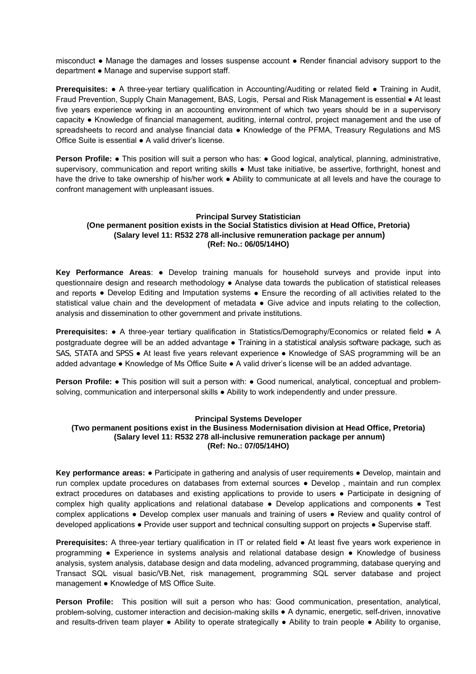misconduct ● Manage the damages and losses suspense account ● Render financial advisory support to the department ● Manage and supervise support staff.

**Prerequisites: •** A three-year tertiary qualification in Accounting/Auditing or related field • Training in Audit, Fraud Prevention, Supply Chain Management, BAS, Logis, Persal and Risk Management is essential ● At least five years experience working in an accounting environment of which two years should be in a supervisory capacity ● Knowledge of financial management, auditing, internal control, project management and the use of spreadsheets to record and analyse financial data • Knowledge of the PFMA, Treasury Regulations and MS Office Suite is essential ● A valid driver's license.

**Person Profile: •** This position will suit a person who has: • Good logical, analytical, planning, administrative, supervisory, communication and report writing skills . Must take initiative, be assertive, forthright, honest and have the drive to take ownership of his/her work ● Ability to communicate at all levels and have the courage to confront management with unpleasant issues.

## **Principal Survey Statistician (One permanent position exists in the Social Statistics division at Head Office, Pretoria) (Salary level 11: R532 278 all-inclusive remuneration package per annum) (Ref: No.: 06/05/14HO)**

**Key Performance Areas**: ● Develop training manuals for household surveys and provide input into questionnaire design and research methodology ● Analyse data towards the publication of statistical releases and reports • Develop Editing and Imputation systems • Ensure the recording of all activities related to the statistical value chain and the development of metadata  $\bullet$  Give advice and inputs relating to the collection, analysis and dissemination to other government and private institutions.

**Prerequisites:** ● A three-year tertiary qualification in Statistics/Demography/Economics or related field ● A postgraduate degree will be an added advantage ● Training in a statistical analysis software package, such as SAS, STATA and SPSS • At least five years relevant experience • Knowledge of SAS programming will be an added advantage ● Knowledge of Ms Office Suite ● A valid driver's license will be an added advantage.

**Person Profile: •** This position will suit a person with: • Good numerical, analytical, conceptual and problemsolving, communication and interpersonal skills  $\bullet$  Ability to work independently and under pressure.

## **Principal Systems Developer**

### **(Two permanent positions exist in the Business Modernisation division at Head Office, Pretoria) (Salary level 11: R532 278 all-inclusive remuneration package per annum) (Ref: No.: 07/05/14HO)**

**Key performance areas:** ● Participate in gathering and analysis of user requirements ● Develop, maintain and run complex update procedures on databases from external sources ● Develop , maintain and run complex extract procedures on databases and existing applications to provide to users ● Participate in designing of complex high quality applications and relational database ● Develop applications and components ● Test complex applications ● Develop complex user manuals and training of users ● Review and quality control of developed applications ● Provide user support and technical consulting support on projects ● Supervise staff.

**Prerequisites:** A three-year tertiary qualification in IT or related field ● At least five years work experience in programming ● Experience in systems analysis and relational database design ● Knowledge of business analysis, system analysis, database design and data modeling, advanced programming, database querying and Transact SQL visual basic/VB.Net, risk management, programming SQL server database and project management ● Knowledge of MS Office Suite.

**Person Profile:** This position will suit a person who has: Good communication, presentation, analytical, problem-solving, customer interaction and decision-making skills ● A dynamic, energetic, self-driven, innovative and results-driven team player ● Ability to operate strategically ● Ability to train people ● Ability to organise,